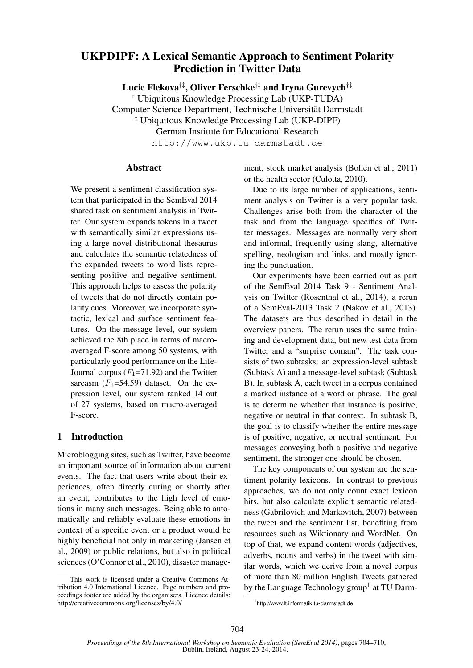# UKPDIPF: A Lexical Semantic Approach to Sentiment Polarity Prediction in Twitter Data

Lucie Flekova†‡, Oliver Ferschke†‡ and Iryna Gurevych†‡

† Ubiquitous Knowledge Processing Lab (UKP-TUDA) Computer Science Department, Technische Universität Darmstadt

‡ Ubiquitous Knowledge Processing Lab (UKP-DIPF) German Institute for Educational Research

http://www.ukp.tu-darmstadt.de

#### Abstract

We present a sentiment classification system that participated in the SemEval 2014 shared task on sentiment analysis in Twitter. Our system expands tokens in a tweet with semantically similar expressions using a large novel distributional thesaurus and calculates the semantic relatedness of the expanded tweets to word lists representing positive and negative sentiment. This approach helps to assess the polarity of tweets that do not directly contain polarity cues. Moreover, we incorporate syntactic, lexical and surface sentiment features. On the message level, our system achieved the 8th place in terms of macroaveraged F-score among 50 systems, with particularly good performance on the Life-Journal corpus  $(F_1=71.92)$  and the Twitter sarcasm  $(F_1=54.59)$  dataset. On the expression level, our system ranked 14 out of 27 systems, based on macro-averaged F-score.

# 1 Introduction

Microblogging sites, such as Twitter, have become an important source of information about current events. The fact that users write about their experiences, often directly during or shortly after an event, contributes to the high level of emotions in many such messages. Being able to automatically and reliably evaluate these emotions in context of a specific event or a product would be highly beneficial not only in marketing (Jansen et al., 2009) or public relations, but also in political sciences (O'Connor et al., 2010), disaster management, stock market analysis (Bollen et al., 2011) or the health sector (Culotta, 2010).

Due to its large number of applications, sentiment analysis on Twitter is a very popular task. Challenges arise both from the character of the task and from the language specifics of Twitter messages. Messages are normally very short and informal, frequently using slang, alternative spelling, neologism and links, and mostly ignoring the punctuation.

Our experiments have been carried out as part of the SemEval 2014 Task 9 - Sentiment Analysis on Twitter (Rosenthal et al., 2014), a rerun of a SemEval-2013 Task 2 (Nakov et al., 2013). The datasets are thus described in detail in the overview papers. The rerun uses the same training and development data, but new test data from Twitter and a "surprise domain". The task consists of two subtasks: an expression-level subtask (Subtask A) and a message-level subtask (Subtask B). In subtask A, each tweet in a corpus contained a marked instance of a word or phrase. The goal is to determine whether that instance is positive, negative or neutral in that context. In subtask B, the goal is to classify whether the entire message is of positive, negative, or neutral sentiment. For messages conveying both a positive and negative sentiment, the stronger one should be chosen.

The key components of our system are the sentiment polarity lexicons. In contrast to previous approaches, we do not only count exact lexicon hits, but also calculate explicit semantic relatedness (Gabrilovich and Markovitch, 2007) between the tweet and the sentiment list, benefiting from resources such as Wiktionary and WordNet. On top of that, we expand content words (adjectives, adverbs, nouns and verbs) in the tweet with similar words, which we derive from a novel corpus of more than 80 million English Tweets gathered by the Language Technology group<sup>1</sup> at TU Darm-

This work is licensed under a Creative Commons Attribution 4.0 International Licence. Page numbers and proceedings footer are added by the organisers. Licence details: http://creativecommons.org/licenses/by/4.0/

<sup>1</sup> http://www.lt.informatik.tu-darmstadt.de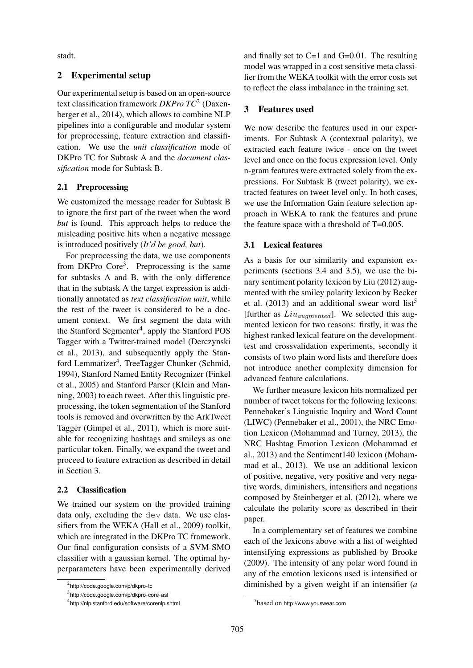stadt.

# 2 Experimental setup

Our experimental setup is based on an open-source text classification framework *DKPro TC*<sup>2</sup> (Daxenberger et al., 2014), which allows to combine NLP pipelines into a configurable and modular system for preprocessing, feature extraction and classification. We use the *unit classification* mode of DKPro TC for Subtask A and the *document classification* mode for Subtask B.

# 2.1 Preprocessing

We customized the message reader for Subtask B to ignore the first part of the tweet when the word *but* is found. This approach helps to reduce the misleading positive hits when a negative message is introduced positively (*It'd be good, but*).

For preprocessing the data, we use components from DKPro Core<sup>3</sup>. Preprocessing is the same for subtasks A and B, with the only difference that in the subtask A the target expression is additionally annotated as *text classification unit*, while the rest of the tweet is considered to be a document context. We first segment the data with the Stanford Segmenter<sup>4</sup>, apply the Stanford POS Tagger with a Twitter-trained model (Derczynski et al., 2013), and subsequently apply the Stanford Lemmatizer<sup>4</sup>, TreeTagger Chunker (Schmid, 1994), Stanford Named Entity Recognizer (Finkel et al., 2005) and Stanford Parser (Klein and Manning, 2003) to each tweet. After this linguistic preprocessing, the token segmentation of the Stanford tools is removed and overwritten by the ArkTweet Tagger (Gimpel et al., 2011), which is more suitable for recognizing hashtags and smileys as one particular token. Finally, we expand the tweet and proceed to feature extraction as described in detail in Section 3.

# 2.2 Classification

We trained our system on the provided training data only, excluding the dev data. We use classifiers from the WEKA (Hall et al., 2009) toolkit, which are integrated in the DKPro TC framework. Our final configuration consists of a SVM-SMO classifier with a gaussian kernel. The optimal hyperparameters have been experimentally derived and finally set to C=1 and G=0.01. The resulting model was wrapped in a cost sensitive meta classifier from the WEKA toolkit with the error costs set to reflect the class imbalance in the training set.

# 3 Features used

We now describe the features used in our experiments. For Subtask A (contextual polarity), we extracted each feature twice - once on the tweet level and once on the focus expression level. Only n-gram features were extracted solely from the expressions. For Subtask B (tweet polarity), we extracted features on tweet level only. In both cases, we use the Information Gain feature selection approach in WEKA to rank the features and prune the feature space with a threshold of  $T=0.005$ .

# 3.1 Lexical features

As a basis for our similarity and expansion experiments (sections 3.4 and 3.5), we use the binary sentiment polarity lexicon by Liu (2012) augmented with the smiley polarity lexicon by Becker et al.  $(2013)$  and an additional swear word list<sup>5</sup> [further as  $Liu_{augmented}$ ]. We selected this augmented lexicon for two reasons: firstly, it was the highest ranked lexical feature on the developmenttest and crossvalidation experiments, secondly it consists of two plain word lists and therefore does not introduce another complexity dimension for advanced feature calculations.

We further measure lexicon hits normalized per number of tweet tokens for the following lexicons: Pennebaker's Linguistic Inquiry and Word Count (LIWC) (Pennebaker et al., 2001), the NRC Emotion Lexicon (Mohammad and Turney, 2013), the NRC Hashtag Emotion Lexicon (Mohammad et al., 2013) and the Sentiment140 lexicon (Mohammad et al., 2013). We use an additional lexicon of positive, negative, very positive and very negative words, diminishers, intensifiers and negations composed by Steinberger et al. (2012), where we calculate the polarity score as described in their paper.

In a complementary set of features we combine each of the lexicons above with a list of weighted intensifying expressions as published by Brooke (2009). The intensity of any polar word found in any of the emotion lexicons used is intensified or diminished by a given weight if an intensifier (*a*

<sup>&</sup>lt;sup>2</sup>http://code.google.com/p/dkpro-tc

<sup>3</sup> http://code.google.com/p/dkpro-core-asl

<sup>4</sup> http://nlp.stanford.edu/software/corenlp.shtml

<sup>5</sup> based on http://www.youswear.com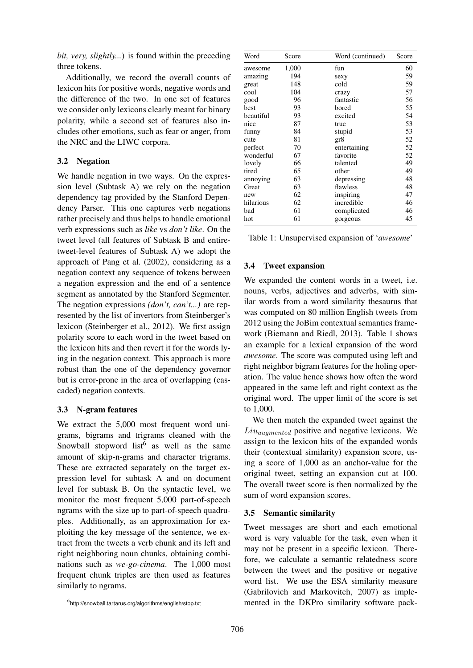*bit, very, slightly...*) is found within the preceding three tokens.

Additionally, we record the overall counts of lexicon hits for positive words, negative words and the difference of the two. In one set of features we consider only lexicons clearly meant for binary polarity, while a second set of features also includes other emotions, such as fear or anger, from the NRC and the LIWC corpora.

# 3.2 Negation

We handle negation in two ways. On the expression level (Subtask A) we rely on the negation dependency tag provided by the Stanford Dependency Parser. This one captures verb negations rather precisely and thus helps to handle emotional verb expressions such as *like* vs *don't like*. On the tweet level (all features of Subtask B and entiretweet-level features of Subtask A) we adopt the approach of Pang et al. (2002), considering as a negation context any sequence of tokens between a negation expression and the end of a sentence segment as annotated by the Stanford Segmenter. The negation expressions *(don't, can't...)* are represented by the list of invertors from Steinberger's lexicon (Steinberger et al., 2012). We first assign polarity score to each word in the tweet based on the lexicon hits and then revert it for the words lying in the negation context. This approach is more robust than the one of the dependency governor but is error-prone in the area of overlapping (cascaded) negation contexts.

# 3.3 N-gram features

We extract the 5,000 most frequent word unigrams, bigrams and trigrams cleaned with the Snowball stopword list<sup>6</sup> as well as the same amount of skip-n-grams and character trigrams. These are extracted separately on the target expression level for subtask A and on document level for subtask B. On the syntactic level, we monitor the most frequent 5,000 part-of-speech ngrams with the size up to part-of-speech quadruples. Additionally, as an approximation for exploiting the key message of the sentence, we extract from the tweets a verb chunk and its left and right neighboring noun chunks, obtaining combinations such as *we-go-cinema*. The 1,000 most frequent chunk triples are then used as features similarly to ngrams.

| Word      | Score | Word (continued) | Score |
|-----------|-------|------------------|-------|
| awesome   | 1,000 | fun              | 60    |
| amazing   | 194   | sexy             | 59    |
| great     | 148   | cold             | 59    |
| cool      | 104   | crazy            | 57    |
| good      | 96    | fantastic        | 56    |
| best      | 93    | bored            | 55    |
| beautiful | 93    | excited          | 54    |
| nice      | 87    | true             | 53    |
| funny     | 84    | stupid           | 53    |
| cute      | 81    | gr8              | 52    |
| perfect   | 70    | entertaining     | 52    |
| wonderful | 67    | favorite         | 52    |
| lovely    | 66    | talented         | 49    |
| tired     | 65    | other            | 49    |
| annoying  | 63    | depressing       | 48    |
| Great     | 63    | flawless         | 48    |
| new       | 62    | inspiring        | 47    |
| hilarious | 62    | incredible       | 46    |
| bad       | 61    | complicated      | 46    |
| hot       | 61    | gorgeous         | 45    |

|  | Table 1: Unsupervised expansion of 'awesome' |  |  |  |
|--|----------------------------------------------|--|--|--|
|--|----------------------------------------------|--|--|--|

#### 3.4 Tweet expansion

We expanded the content words in a tweet, i.e. nouns, verbs, adjectives and adverbs, with similar words from a word similarity thesaurus that was computed on 80 million English tweets from 2012 using the JoBim contextual semantics framework (Biemann and Riedl, 2013). Table 1 shows an example for a lexical expansion of the word *awesome*. The score was computed using left and right neighbor bigram features for the holing operation. The value hence shows how often the word appeared in the same left and right context as the original word. The upper limit of the score is set to 1,000.

We then match the expanded tweet against the  $Liu<sub>augmented</sub>$  positive and negative lexicons. We assign to the lexicon hits of the expanded words their (contextual similarity) expansion score, using a score of 1,000 as an anchor-value for the original tweet, setting an expansion cut at 100. The overall tweet score is then normalized by the sum of word expansion scores.

# 3.5 Semantic similarity

Tweet messages are short and each emotional word is very valuable for the task, even when it may not be present in a specific lexicon. Therefore, we calculate a semantic relatedness score between the tweet and the positive or negative word list. We use the ESA similarity measure (Gabrilovich and Markovitch, 2007) as implemented in the DKPro similarity software pack-

<sup>6</sup> http://snowball.tartarus.org/algorithms/english/stop.txt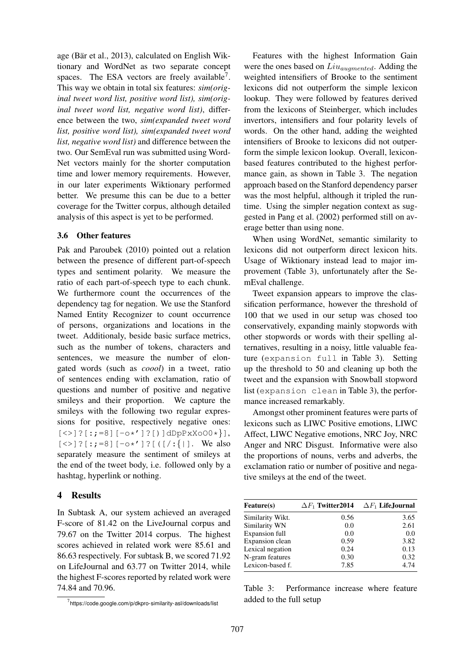age (Bär et al., 2013), calculated on English Wiktionary and WordNet as two separate concept spaces. The ESA vectors are freely available<sup>7</sup>. This way we obtain in total six features: *sim(original tweet word list, positive word list), sim(original tweet word list, negative word list)*, difference between the two, *sim(expanded tweet word list, positive word list), sim(expanded tweet word list, negative word list)* and difference between the two. Our SemEval run was submitted using Word-Net vectors mainly for the shorter computation time and lower memory requirements. However, in our later experiments Wiktionary performed better. We presume this can be due to a better coverage for the Twitter corpus, although detailed analysis of this aspect is yet to be performed.

#### 3.6 Other features

Pak and Paroubek (2010) pointed out a relation between the presence of different part-of-speech types and sentiment polarity. We measure the ratio of each part-of-speech type to each chunk. We furthermore count the occurrences of the dependency tag for negation. We use the Stanford Named Entity Recognizer to count occurrence of persons, organizations and locations in the tweet. Additionaly, beside basic surface metrics, such as the number of tokens, characters and sentences, we measure the number of elongated words (such as *coool*) in a tweet, ratio of sentences ending with exclamation, ratio of questions and number of positive and negative smileys and their proportion. We capture the smileys with the following two regular expressions for positive, respectively negative ones:  $[\langle \rangle]$  ?  $[:,=8]$   $[-o*']$  ? [) ] dDpPxXoO0\* }],  $[\langle \rangle]$ ? $[$ :;=8] $[-0 \times 1]$ ? $[$  ( $[$ /:{|]. We also separately measure the sentiment of smileys at the end of the tweet body, i.e. followed only by a hashtag, hyperlink or nothing.

# 4 Results

In Subtask A, our system achieved an averaged F-score of 81.42 on the LiveJournal corpus and 79.67 on the Twitter 2014 corpus. The highest scores achieved in related work were 85.61 and 86.63 respectively. For subtask B, we scored 71.92 on LifeJournal and 63.77 on Twitter 2014, while the highest F-scores reported by related work were 74.84 and 70.96.

Features with the highest Information Gain were the ones based on  $Liu_{augmented}$ . Adding the weighted intensifiers of Brooke to the sentiment lexicons did not outperform the simple lexicon lookup. They were followed by features derived from the lexicons of Steinberger, which includes invertors, intensifiers and four polarity levels of words. On the other hand, adding the weighted intensifiers of Brooke to lexicons did not outperform the simple lexicon lookup. Overall, lexiconbased features contributed to the highest performance gain, as shown in Table 3. The negation approach based on the Stanford dependency parser was the most helpful, although it tripled the runtime. Using the simpler negation context as suggested in Pang et al. (2002) performed still on average better than using none.

When using WordNet, semantic similarity to lexicons did not outperform direct lexicon hits. Usage of Wiktionary instead lead to major improvement (Table 3), unfortunately after the SemEval challenge.

Tweet expansion appears to improve the classification performance, however the threshold of 100 that we used in our setup was chosed too conservatively, expanding mainly stopwords with other stopwords or words with their spelling alternatives, resulting in a noisy, little valuable feature (expansion full in Table 3). Setting up the threshold to 50 and cleaning up both the tweet and the expansion with Snowball stopword list (expansion clean in Table 3), the performance increased remarkably.

Amongst other prominent features were parts of lexicons such as LIWC Positive emotions, LIWC Affect, LIWC Negative emotions, NRC Joy, NRC Anger and NRC Disgust. Informative were also the proportions of nouns, verbs and adverbs, the exclamation ratio or number of positive and negative smileys at the end of the tweet.

| <b>Feature(s)</b> |      | $\Delta F_1$ Twitter 2014 $\Delta F_1$ Life, Journal |
|-------------------|------|------------------------------------------------------|
| Similarity Wikt.  | 0.56 | 3.65                                                 |
| Similarity WN     | 0.0  | 2.61                                                 |
| Expansion full    | 0.0  | 0.0                                                  |
| Expansion clean   | 0.59 | 3.82                                                 |
| Lexical negation  | 0.24 | 0.13                                                 |
| N-gram features   | 0.30 | 0.32                                                 |
| Lexicon-based f.  | 7.85 | 4.74                                                 |

Table 3: Performance increase where feature added to the full setup

 $^7$ https://code.google.com/p/dkpro-similarity-asl/downloads/list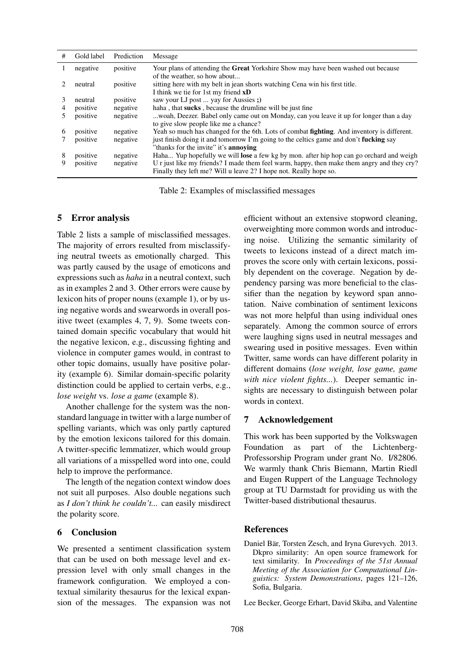| # | Gold label | Prediction | Message                                                                                                                                                         |
|---|------------|------------|-----------------------------------------------------------------------------------------------------------------------------------------------------------------|
|   | negative   | positive   | Your plans of attending the <b>Great</b> Yorkshire Show may have been washed out because                                                                        |
|   | neutral    | positive   | of the weather, so how about<br>sitting here with my belt in jean shorts watching Cena win his first title.<br>I think we tie for 1st my friend <b>xD</b>       |
|   | neutral    | positive   | saw your LJ post  yay for Aussies ;)                                                                                                                            |
| 4 | positive   | negative   | haha, that sucks, because the drumline will be just fine                                                                                                        |
|   | positive   | negative   | woah, Deezer. Babel only came out on Monday, can you leave it up for longer than a day<br>to give slow people like me a chance?                                 |
| 6 | positive   | negative   | Yeah so much has changed for the 6th. Lots of combat <b>fighting</b> . And inventory is different.                                                              |
|   | positive   | negative   | just finish doing it and tomorrow I'm going to the celtics game and don't <b>fucking</b> say                                                                    |
|   |            |            | "thanks for the invite" it's <b>annoying</b>                                                                                                                    |
| 8 | positive   | negative   | Haha Yup hopefully we will <b>lose</b> a few kg by mon. after hip hop can go orchard and weigh                                                                  |
| 9 | positive   | negative   | U r just like my friends? I made them feel warm, happy, then make them angry and they cry?<br>Finally they left me? Will u leave 2? I hope not. Really hope so. |

Table 2: Examples of misclassified messages

#### 5 Error analysis

Table 2 lists a sample of misclassified messages. The majority of errors resulted from misclassifying neutral tweets as emotionally charged. This was partly caused by the usage of emoticons and expressions such as *haha* in a neutral context, such as in examples 2 and 3. Other errors were cause by lexicon hits of proper nouns (example 1), or by using negative words and swearwords in overall positive tweet (examples 4, 7, 9). Some tweets contained domain specific vocabulary that would hit the negative lexicon, e.g., discussing fighting and violence in computer games would, in contrast to other topic domains, usually have positive polarity (example 6). Similar domain-specific polarity distinction could be applied to certain verbs, e.g., *lose weight* vs. *lose a game* (example 8).

Another challenge for the system was the nonstandard language in twitter with a large number of spelling variants, which was only partly captured by the emotion lexicons tailored for this domain. A twitter-specific lemmatizer, which would group all variations of a misspelled word into one, could help to improve the performance.

The length of the negation context window does not suit all purposes. Also double negations such as *I don't think he couldn't...* can easily misdirect the polarity score.

#### 6 Conclusion

We presented a sentiment classification system that can be used on both message level and expression level with only small changes in the framework configuration. We employed a contextual similarity thesaurus for the lexical expansion of the messages. The expansion was not efficient without an extensive stopword cleaning, overweighting more common words and introducing noise. Utilizing the semantic similarity of tweets to lexicons instead of a direct match improves the score only with certain lexicons, possibly dependent on the coverage. Negation by dependency parsing was more beneficial to the classifier than the negation by keyword span annotation. Naive combination of sentiment lexicons was not more helpful than using individual ones separately. Among the common source of errors were laughing signs used in neutral messages and swearing used in positive messages. Even within Twitter, same words can have different polarity in different domains (*lose weight, lose game, game with nice violent fights...*). Deeper semantic insights are necessary to distinguish between polar words in context.

#### 7 Acknowledgement

This work has been supported by the Volkswagen Foundation as part of the Lichtenberg-Professorship Program under grant No. I/82806. We warmly thank Chris Biemann, Martin Riedl and Eugen Ruppert of the Language Technology group at TU Darmstadt for providing us with the Twitter-based distributional thesaurus.

#### **References**

Daniel Bär, Torsten Zesch, and Iryna Gurevych. 2013. Dkpro similarity: An open source framework for text similarity. In *Proceedings of the 51st Annual Meeting of the Association for Computational Linguistics: System Demonstrations*, pages 121–126, Sofia, Bulgaria.

Lee Becker, George Erhart, David Skiba, and Valentine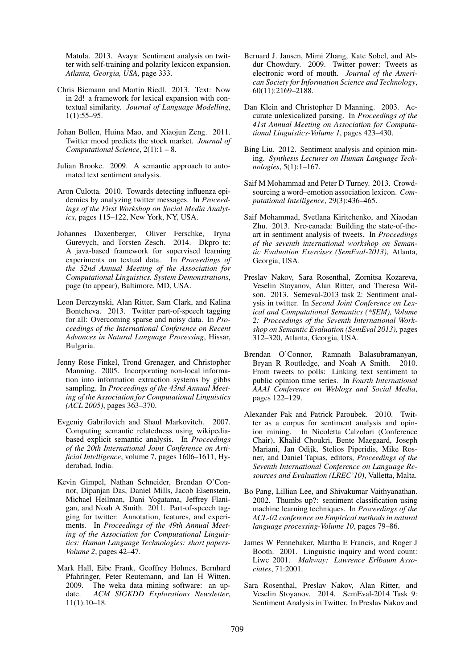Matula. 2013. Avaya: Sentiment analysis on twitter with self-training and polarity lexicon expansion. *Atlanta, Georgia, USA*, page 333.

- Chris Biemann and Martin Riedl. 2013. Text: Now in 2d! a framework for lexical expansion with contextual similarity. *Journal of Language Modelling*, 1(1):55–95.
- Johan Bollen, Huina Mao, and Xiaojun Zeng. 2011. Twitter mood predicts the stock market. *Journal of Computational Science*, 2(1):1 – 8.
- Julian Brooke. 2009. A semantic approach to automated text sentiment analysis.
- Aron Culotta. 2010. Towards detecting influenza epidemics by analyzing twitter messages. In *Proceedings of the First Workshop on Social Media Analytics*, pages 115–122, New York, NY, USA.
- Johannes Daxenberger, Oliver Ferschke, Iryna Gurevych, and Torsten Zesch. 2014. Dkpro tc: A java-based framework for supervised learning experiments on textual data. In *Proceedings of the 52nd Annual Meeting of the Association for Computational Linguistics. System Demonstrations*, page (to appear), Baltimore, MD, USA.
- Leon Derczynski, Alan Ritter, Sam Clark, and Kalina Bontcheva. 2013. Twitter part-of-speech tagging for all: Overcoming sparse and noisy data. In *Proceedings of the International Conference on Recent Advances in Natural Language Processing*, Hissar, Bulgaria.
- Jenny Rose Finkel, Trond Grenager, and Christopher Manning. 2005. Incorporating non-local information into information extraction systems by gibbs sampling. In *Proceedings of the 43nd Annual Meeting of the Association for Computational Linguistics (ACL 2005)*, pages 363–370.
- Evgeniy Gabrilovich and Shaul Markovitch. 2007. Computing semantic relatedness using wikipediabased explicit semantic analysis. In *Proceedings of the 20th International Joint Conference on Artificial Intelligence*, volume 7, pages 1606–1611, Hyderabad, India.
- Kevin Gimpel, Nathan Schneider, Brendan O'Connor, Dipanjan Das, Daniel Mills, Jacob Eisenstein, Michael Heilman, Dani Yogatama, Jeffrey Flanigan, and Noah A Smith. 2011. Part-of-speech tagging for twitter: Annotation, features, and experiments. In *Proceedings of the 49th Annual Meeting of the Association for Computational Linguistics: Human Language Technologies: short papers-Volume 2*, pages 42–47.
- Mark Hall, Eibe Frank, Geoffrey Holmes, Bernhard Pfahringer, Peter Reutemann, and Ian H Witten. 2009. The weka data mining software: an update. *ACM SIGKDD Explorations Newsletter*, 11(1):10–18.
- Bernard J. Jansen, Mimi Zhang, Kate Sobel, and Abdur Chowdury. 2009. Twitter power: Tweets as electronic word of mouth. *Journal of the American Society for Information Science and Technology*, 60(11):2169–2188.
- Dan Klein and Christopher D Manning. 2003. Accurate unlexicalized parsing. In *Proceedings of the 41st Annual Meeting on Association for Computational Linguistics-Volume 1*, pages 423–430.
- Bing Liu. 2012. Sentiment analysis and opinion mining. *Synthesis Lectures on Human Language Technologies*, 5(1):1–167.
- Saif M Mohammad and Peter D Turney. 2013. Crowdsourcing a word–emotion association lexicon. *Computational Intelligence*, 29(3):436–465.
- Saif Mohammad, Svetlana Kiritchenko, and Xiaodan Zhu. 2013. Nrc-canada: Building the state-of-theart in sentiment analysis of tweets. In *Proceedings of the seventh international workshop on Semantic Evaluation Exercises (SemEval-2013)*, Atlanta, Georgia, USA.
- Preslav Nakov, Sara Rosenthal, Zornitsa Kozareva, Veselin Stoyanov, Alan Ritter, and Theresa Wilson. 2013. Semeval-2013 task 2: Sentiment analysis in twitter. In *Second Joint Conference on Lexical and Computational Semantics (\*SEM), Volume 2: Proceedings of the Seventh International Workshop on Semantic Evaluation (SemEval 2013)*, pages 312–320, Atlanta, Georgia, USA.
- Brendan O'Connor, Ramnath Balasubramanyan, Bryan R Routledge, and Noah A Smith. 2010. From tweets to polls: Linking text sentiment to public opinion time series. In *Fourth International AAAI Conference on Weblogs and Social Media*, pages 122–129.
- Alexander Pak and Patrick Paroubek. 2010. Twitter as a corpus for sentiment analysis and opinion mining. In Nicoletta Calzolari (Conference Chair), Khalid Choukri, Bente Maegaard, Joseph Mariani, Jan Odijk, Stelios Piperidis, Mike Rosner, and Daniel Tapias, editors, *Proceedings of the Seventh International Conference on Language Resources and Evaluation (LREC'10)*, Valletta, Malta.
- Bo Pang, Lillian Lee, and Shivakumar Vaithyanathan. 2002. Thumbs up?: sentiment classification using machine learning techniques. In *Proceedings of the ACL-02 conference on Empirical methods in natural language processing-Volume 10*, pages 79–86.
- James W Pennebaker, Martha E Francis, and Roger J Booth. 2001. Linguistic inquiry and word count: Liwc 2001. *Mahway: Lawrence Erlbaum Associates*, 71:2001.
- Sara Rosenthal, Preslav Nakov, Alan Ritter, and Veselin Stoyanov. 2014. SemEval-2014 Task 9: Sentiment Analysis in Twitter. In Preslav Nakov and